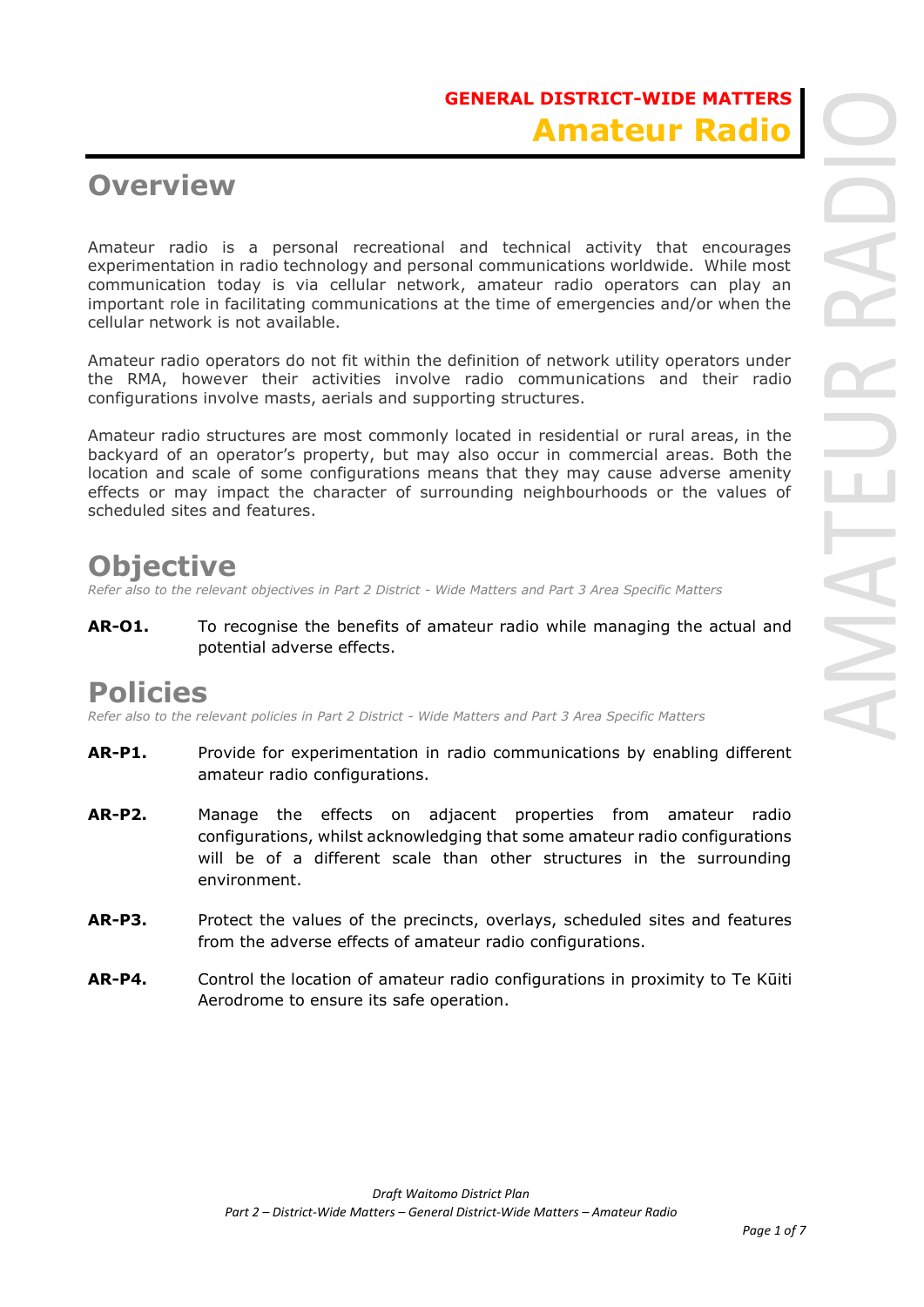### **GENERAL DISTRICT-WIDE MATTERS Amateur Radio**

### **Overview**

Amateur radio is a personal recreational and technical activity that encourages experimentation in radio technology and personal communications worldwide. While most communication today is via cellular network, amateur radio operators can play an important role in facilitating communications at the time of emergencies and/or when the cellular network is not available.

Amateur radio operators do not fit within the definition of network utility operators under the RMA, however their activities involve radio communications and their radio configurations involve masts, aerials and supporting structures.

Amateur radio structures are most commonly located in residential or rural areas, in the backyard of an operator's property, but may also occur in commercial areas. Both the location and scale of some configurations means that they may cause adverse amenity effects or may impact the character of surrounding neighbourhoods or the values of scheduled sites and features.

## **Objective**

*Refer also to the relevant objectives in Part 2 District - Wide Matters and Part 3 Area Specific Matters*

**AR-O1.** To recognise the benefits of amateur radio while managing the actual and potential adverse effects.

#### **Policies**

*Refer also to the relevant policies in Part 2 District - Wide Matters and Part 3 Area Specific Matters*

- **AR-P1.** Provide for experimentation in radio communications by enabling different amateur radio configurations.
- **AR-P2.** Manage the effects on adjacent properties from amateur radio configurations, whilst acknowledging that some amateur radio configurations will be of a different scale than other structures in the surrounding environment.
- **AR-P3.** Protect the values of the precincts, overlays, scheduled sites and features from the adverse effects of amateur radio configurations.
- **AR-P4.** Control the location of amateur radio configurations in proximity to Te Kūiti Aerodrome to ensure its safe operation.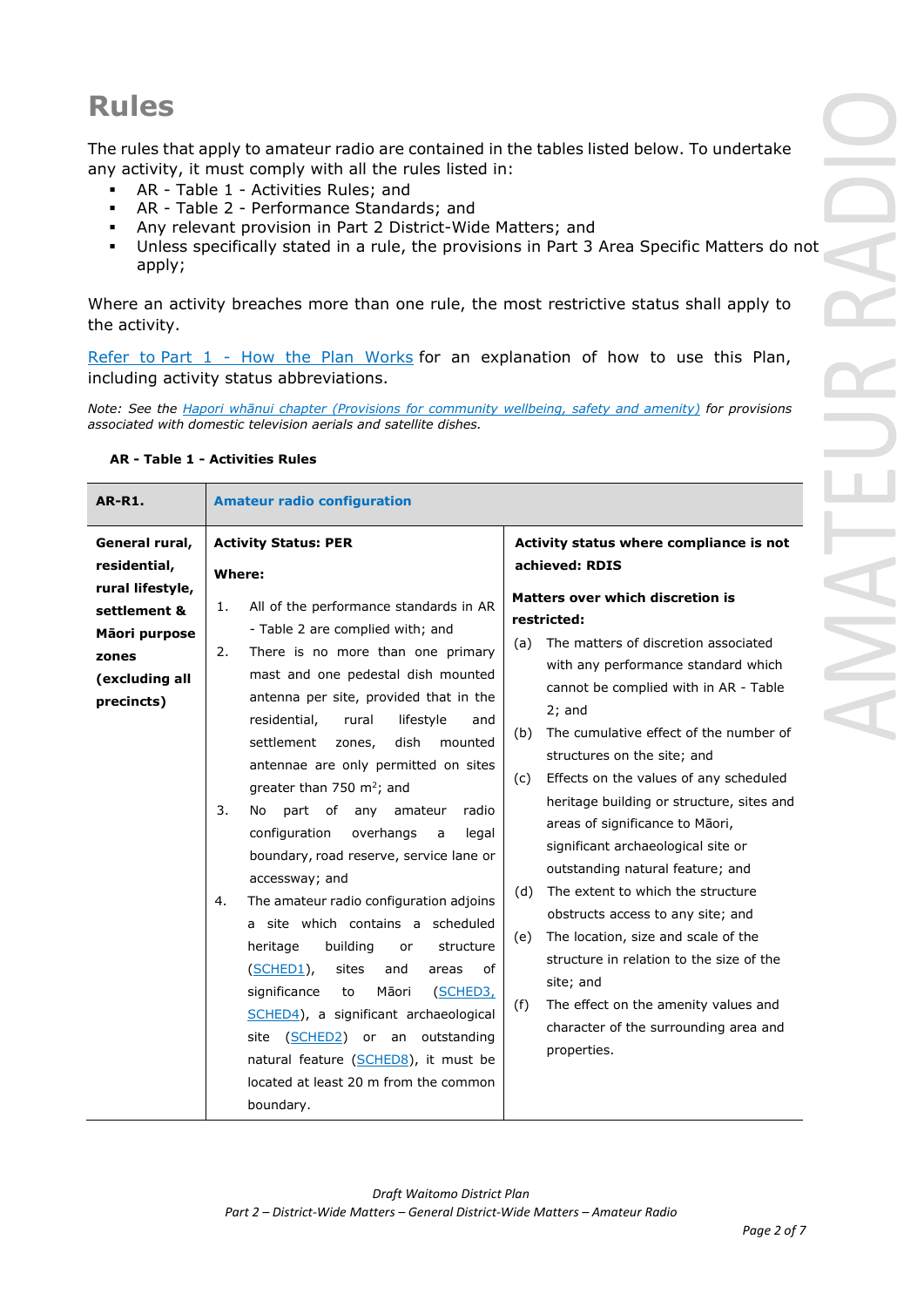# **Rules**

The rules that apply to amateur radio are contained in the tables listed below. To undertake any activity, it must comply with all the rules listed in:

- AR Table 1 Activities Rules; and
- AR Table 2 Performance Standards; and
- Any relevant provision in Part 2 District-Wide Matters; and
- Unless specifically stated in a rule, the provisions in Part 3 Area Specific Matters do not apply;

Where an activity breaches more than one rule, the most restrictive status shall apply to the activity.

Refer to [Part 1](javascript:void(0)) - How the Plan Works for an explanation of how to use this Plan, including activity status abbreviations.

*Note: See the Hapori whānui chapter (Provisions for community wellbeing, safety and amenity) for provisions associated with domestic television aerials and satellite dishes.* 

| <b>AR-R1.</b>                                                                                                                | <b>Amateur radio configuration</b>                                                                                                                                                                                                                                                                                                                                                                                                                                                                                                                                                                                                                                                                                                                                                                                                                                                                                                                                                |                                                                                                                                                                                                                                                                                                                                                                                                                                                                                                                                                                                                                                                                                                                                                                                                                                                           |
|------------------------------------------------------------------------------------------------------------------------------|-----------------------------------------------------------------------------------------------------------------------------------------------------------------------------------------------------------------------------------------------------------------------------------------------------------------------------------------------------------------------------------------------------------------------------------------------------------------------------------------------------------------------------------------------------------------------------------------------------------------------------------------------------------------------------------------------------------------------------------------------------------------------------------------------------------------------------------------------------------------------------------------------------------------------------------------------------------------------------------|-----------------------------------------------------------------------------------------------------------------------------------------------------------------------------------------------------------------------------------------------------------------------------------------------------------------------------------------------------------------------------------------------------------------------------------------------------------------------------------------------------------------------------------------------------------------------------------------------------------------------------------------------------------------------------------------------------------------------------------------------------------------------------------------------------------------------------------------------------------|
| General rural,<br>residential,<br>rural lifestyle,<br>settlement &<br>Māori purpose<br>zones<br>(excluding all<br>precincts) | <b>Activity Status: PER</b><br>Where:<br>All of the performance standards in AR<br>1.<br>- Table 2 are complied with; and<br>There is no more than one primary<br>2.<br>mast and one pedestal dish mounted<br>antenna per site, provided that in the<br>residential,<br>lifestyle<br>rural<br>and<br>settlement<br>dish<br>mounted<br>zones,<br>antennae are only permitted on sites<br>greater than 750 $m^2$ ; and<br>3.<br>part of any<br>No<br>amateur<br>radio<br>configuration<br>overhangs<br>legal<br>a<br>boundary, road reserve, service lane or<br>accessway; and<br>The amateur radio configuration adjoins<br>4.<br>a site which contains a scheduled<br>building<br>heritage<br>structure<br>or<br>(SCHED1),<br>sites<br>οf<br>and<br>areas<br>significance<br>Māori<br>(SCHED3,<br>to<br>SCHED4), a significant archaeological<br>(SCHED2) or an outstanding<br>site<br>natural feature (SCHED8), it must be<br>located at least 20 m from the common<br>boundary. | Activity status where compliance is not<br>achieved: RDIS<br><b>Matters over which discretion is</b><br>restricted:<br>The matters of discretion associated<br>(a)<br>with any performance standard which<br>cannot be complied with in AR - Table<br>$2$ ; and<br>The cumulative effect of the number of<br>(b)<br>structures on the site; and<br>Effects on the values of any scheduled<br>(c)<br>heritage building or structure, sites and<br>areas of significance to Māori,<br>significant archaeological site or<br>outstanding natural feature; and<br>The extent to which the structure<br>(d)<br>obstructs access to any site; and<br>The location, size and scale of the<br>(e)<br>structure in relation to the size of the<br>site; and<br>The effect on the amenity values and<br>(f)<br>character of the surrounding area and<br>properties. |

#### **AR - Table 1 - Activities Rules**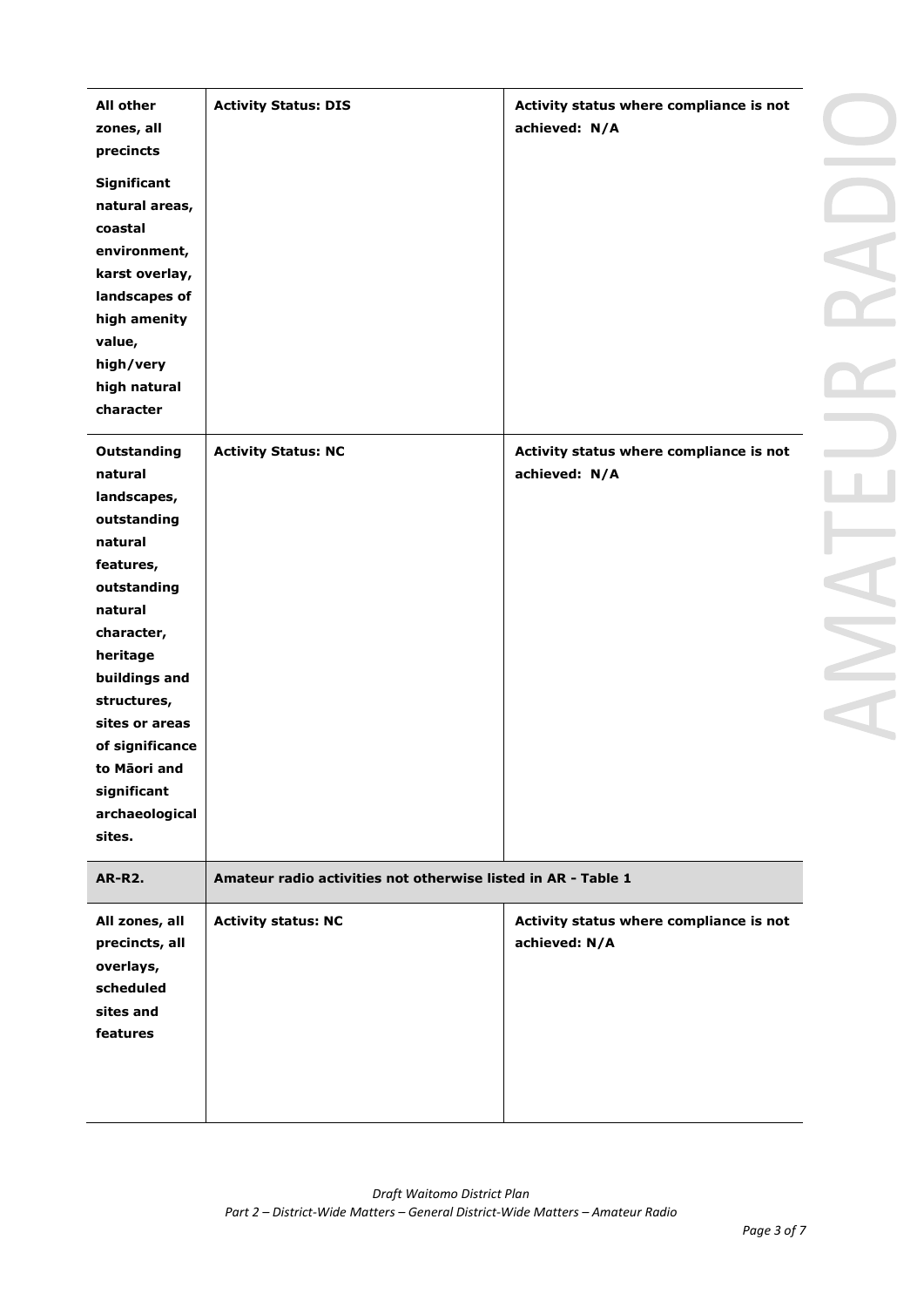| <b>All other</b><br>zones, all | <b>Activity Status: DIS</b>                                   | Activity status where compliance is not<br>achieved: N/A |
|--------------------------------|---------------------------------------------------------------|----------------------------------------------------------|
| precincts                      |                                                               |                                                          |
| Significant                    |                                                               |                                                          |
| natural areas,                 |                                                               |                                                          |
| coastal                        |                                                               |                                                          |
| environment,                   |                                                               |                                                          |
| karst overlay,                 |                                                               |                                                          |
| landscapes of                  |                                                               |                                                          |
| high amenity                   |                                                               |                                                          |
| value,                         |                                                               |                                                          |
| high/very                      |                                                               |                                                          |
| high natural                   |                                                               |                                                          |
| character                      |                                                               |                                                          |
| <b>Outstanding</b>             | <b>Activity Status: NC</b>                                    | Activity status where compliance is not                  |
| natural                        |                                                               | achieved: N/A                                            |
| landscapes,                    |                                                               |                                                          |
| outstanding                    |                                                               |                                                          |
| natural                        |                                                               |                                                          |
| features,                      |                                                               |                                                          |
| outstanding                    |                                                               |                                                          |
| natural                        |                                                               |                                                          |
| character,                     |                                                               |                                                          |
| heritage                       |                                                               |                                                          |
| buildings and                  |                                                               |                                                          |
| structures,                    |                                                               |                                                          |
| sites or areas                 |                                                               |                                                          |
| of significance                |                                                               |                                                          |
| to Māori and                   |                                                               |                                                          |
| significant                    |                                                               |                                                          |
| archaeological                 |                                                               |                                                          |
| sites.                         |                                                               |                                                          |
| <b>AR-R2.</b>                  | Amateur radio activities not otherwise listed in AR - Table 1 |                                                          |
| All zones, all                 | <b>Activity status: NC</b>                                    | Activity status where compliance is not                  |
| precincts, all                 |                                                               | achieved: N/A                                            |
| overlays,                      |                                                               |                                                          |
| scheduled                      |                                                               |                                                          |
| sites and                      |                                                               |                                                          |
| features                       |                                                               |                                                          |
|                                |                                                               |                                                          |
|                                |                                                               |                                                          |
|                                |                                                               |                                                          |
|                                |                                                               |                                                          |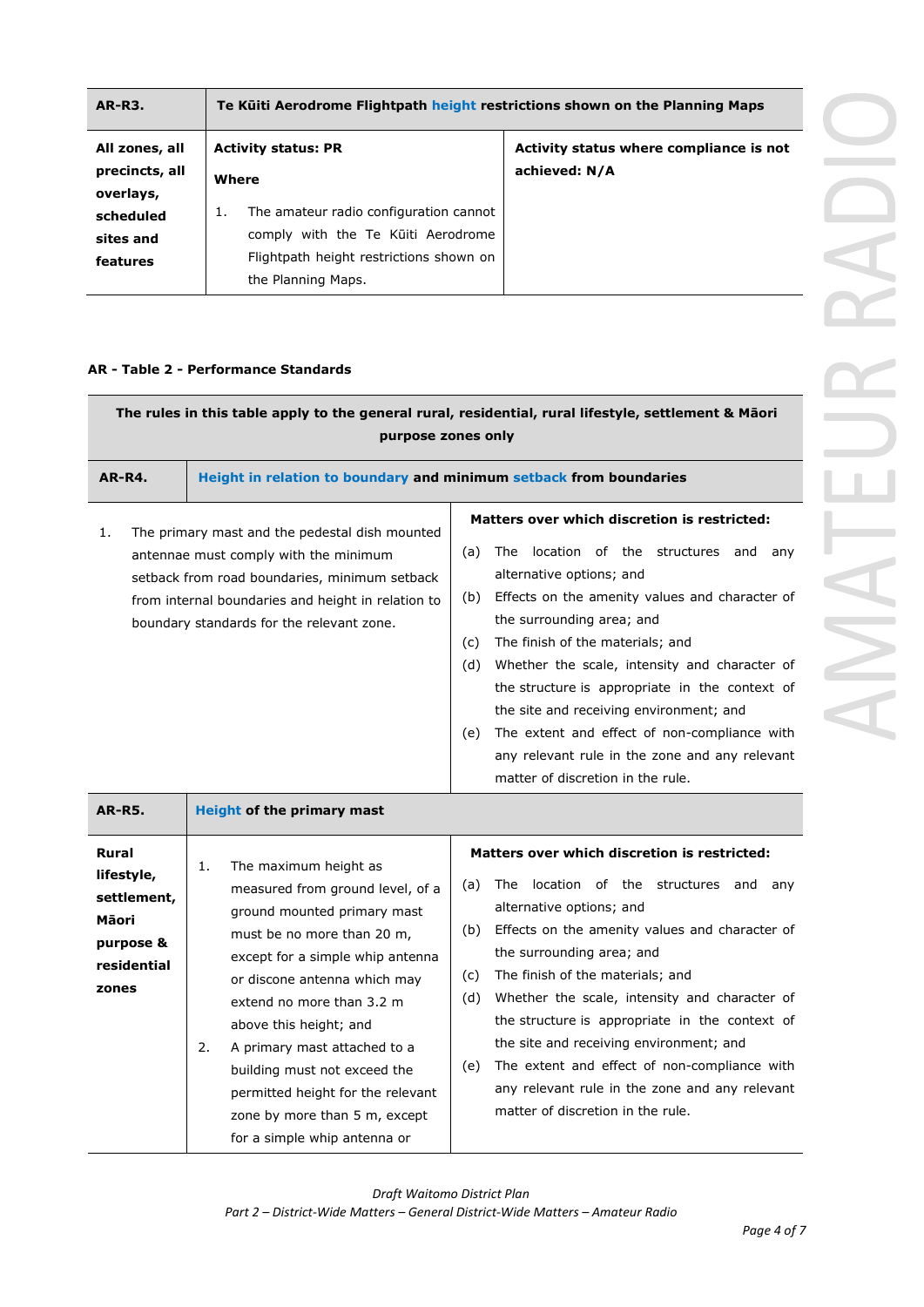| <b>AR-R3.</b>  | Te Külti Aerodrome Flightpath height restrictions shown on the Planning Maps |                                         |                                         |
|----------------|------------------------------------------------------------------------------|-----------------------------------------|-----------------------------------------|
| All zones, all | <b>Activity status: PR</b>                                                   |                                         | Activity status where compliance is not |
| precincts, all | Where                                                                        |                                         | achieved: N/A                           |
| overlays,      |                                                                              |                                         |                                         |
| scheduled      | 1.                                                                           | The amateur radio configuration cannot  |                                         |
| sites and      |                                                                              | comply with the Te Kuiti Aerodrome      |                                         |
| features       |                                                                              | Flightpath height restrictions shown on |                                         |
|                |                                                                              | the Planning Maps.                      |                                         |

#### **AR - Table 2 - Performance Standards**

| The rules in this table apply to the general rural, residential, rural lifestyle, settlement & Māori<br>purpose zones only |                                                                                                                                                                                                                                                                                                                                                                                                     |                                                                                                                                                                                                                                                                                                                                                                                                                                                                                                                                                                               |  |
|----------------------------------------------------------------------------------------------------------------------------|-----------------------------------------------------------------------------------------------------------------------------------------------------------------------------------------------------------------------------------------------------------------------------------------------------------------------------------------------------------------------------------------------------|-------------------------------------------------------------------------------------------------------------------------------------------------------------------------------------------------------------------------------------------------------------------------------------------------------------------------------------------------------------------------------------------------------------------------------------------------------------------------------------------------------------------------------------------------------------------------------|--|
| <b>AR-R4.</b><br>Height in relation to boundary and minimum setback from boundaries                                        |                                                                                                                                                                                                                                                                                                                                                                                                     |                                                                                                                                                                                                                                                                                                                                                                                                                                                                                                                                                                               |  |
| 1.                                                                                                                         | The primary mast and the pedestal dish mounted<br>antennae must comply with the minimum<br>setback from road boundaries, minimum setback<br>from internal boundaries and height in relation to<br>boundary standards for the relevant zone.                                                                                                                                                         | Matters over which discretion is restricted:<br>The location of the structures<br>(a)<br>and<br>any<br>alternative options; and<br>Effects on the amenity values and character of<br>(b)<br>the surrounding area; and<br>The finish of the materials; and<br>(c)<br>Whether the scale, intensity and character of<br>(d)<br>the structure is appropriate in the context of<br>the site and receiving environment; and<br>The extent and effect of non-compliance with<br>(e)<br>any relevant rule in the zone and any relevant<br>matter of discretion in the rule.           |  |
| <b>AR-R5.</b>                                                                                                              | <b>Height of the primary mast</b>                                                                                                                                                                                                                                                                                                                                                                   |                                                                                                                                                                                                                                                                                                                                                                                                                                                                                                                                                                               |  |
| <b>Rural</b><br>lifestyle,<br>settlement,<br>Māori<br>purpose &<br>residential<br>zones                                    | The maximum height as<br>1.<br>measured from ground level, of a<br>ground mounted primary mast<br>must be no more than 20 m,<br>except for a simple whip antenna<br>or discone antenna which may<br>extend no more than 3.2 m<br>above this height; and<br>A primary mast attached to a<br>2.<br>building must not exceed the<br>permitted height for the relevant<br>zone by more than 5 m, except | <b>Matters over which discretion is restricted:</b><br>The<br>location of the structures<br>(a)<br>and<br>any<br>alternative options; and<br>Effects on the amenity values and character of<br>(b)<br>the surrounding area; and<br>The finish of the materials; and<br>(c)<br>(d)<br>Whether the scale, intensity and character of<br>the structure is appropriate in the context of<br>the site and receiving environment; and<br>The extent and effect of non-compliance with<br>(e)<br>any relevant rule in the zone and any relevant<br>matter of discretion in the rule. |  |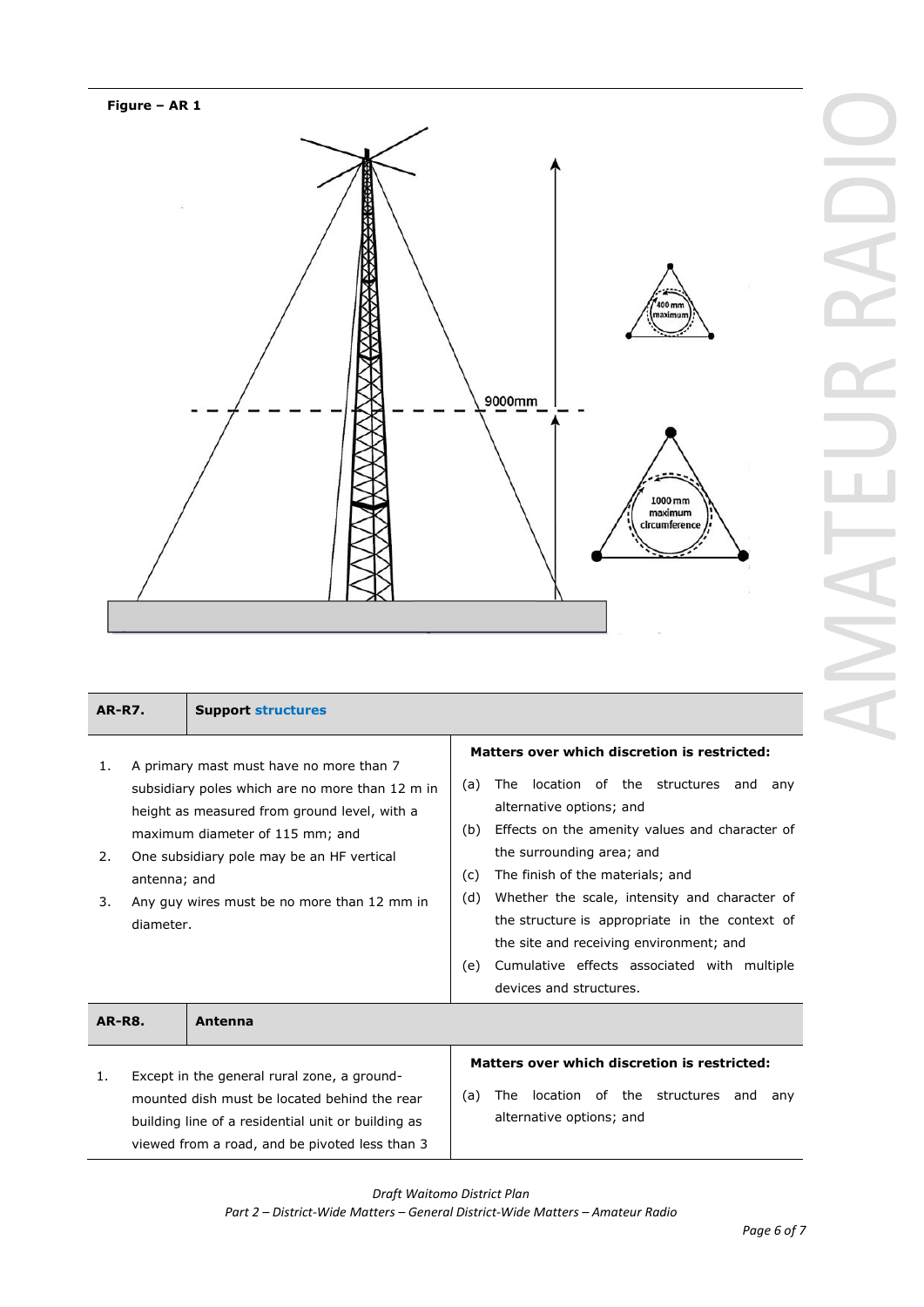

| <b>AR-R7.</b>                                                                                                                                                                                                                                                                                                            |  | <b>Support structures</b> |                                                                                                                                                                                                                                                                                                                                                                                                                                                                                                        |
|--------------------------------------------------------------------------------------------------------------------------------------------------------------------------------------------------------------------------------------------------------------------------------------------------------------------------|--|---------------------------|--------------------------------------------------------------------------------------------------------------------------------------------------------------------------------------------------------------------------------------------------------------------------------------------------------------------------------------------------------------------------------------------------------------------------------------------------------------------------------------------------------|
| A primary mast must have no more than 7<br>1.<br>subsidiary poles which are no more than 12 m in<br>height as measured from ground level, with a<br>maximum diameter of 115 mm; and<br>One subsidiary pole may be an HF vertical<br>2.<br>antenna; and<br>Any guy wires must be no more than 12 mm in<br>3.<br>diameter. |  |                           | Matters over which discretion is restricted:<br>location of the structures and<br>The<br>(a)<br>any<br>alternative options; and<br>Effects on the amenity values and character of<br>(b)<br>the surrounding area; and<br>The finish of the materials; and<br>(c)<br>Whether the scale, intensity and character of<br>(d)<br>the structure is appropriate in the context of<br>the site and receiving environment; and<br>Cumulative effects associated with multiple<br>(e)<br>devices and structures. |
| <b>AR-R8.</b><br>Antenna                                                                                                                                                                                                                                                                                                 |  |                           |                                                                                                                                                                                                                                                                                                                                                                                                                                                                                                        |
| Except in the general rural zone, a ground-<br>1.<br>mounted dish must be located behind the rear<br>building line of a residential unit or building as<br>viewed from a road, and be pivoted less than 3                                                                                                                |  |                           | Matters over which discretion is restricted:<br>location of the structures<br>The<br>(a)<br>and<br>any<br>alternative options; and                                                                                                                                                                                                                                                                                                                                                                     |

*Draft Waitomo District Plan Part 2 – District-Wide Matters – General District-Wide Matters – Amateur Radio*